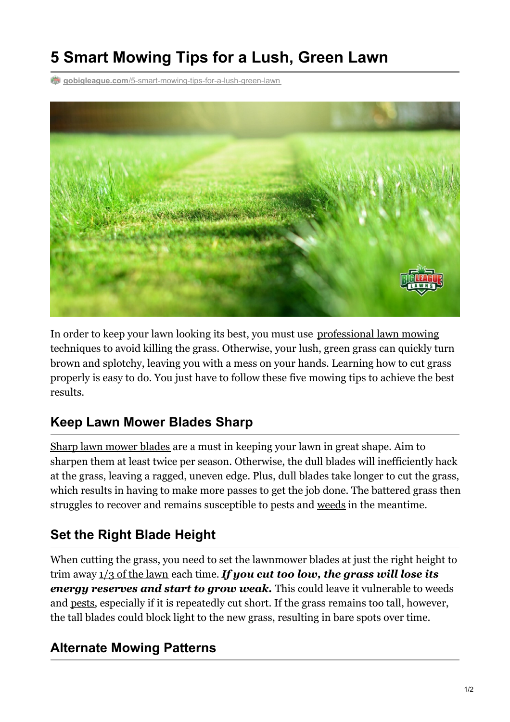# **5 Smart Mowing Tips for a Lush, Green Lawn**

**gobigleague.com**[/5-smart-mowing-tips-for-a-lush-green-lawn](https://gobigleague.com/5-smart-mowing-tips-for-a-lush-green-lawn/)



In order to keep your lawn looking its best, you must use [professional](https://gobigleague.com/) lawn mowing techniques to avoid killing the grass. Otherwise, your lush, green grass can quickly turn brown and splotchy, leaving you with a mess on your hands. Learning how to cut grass properly is easy to do. You just have to follow these five mowing tips to achieve the best results.

## **Keep Lawn Mower Blades Sharp**

Sharp lawn [mower](https://kansashealthyyards.org/component/allvideoshare/video/how-to-sharpen-a-mower-blade?Itemid=101) blades are a must in keeping your lawn in great shape. Aim to sharpen them at least twice per season. Otherwise, the dull blades will inefficiently hack at the grass, leaving a ragged, uneven edge. Plus, dull blades take longer to cut the grass, which results in having to make more passes to get the job done. The battered grass then struggles to recover and remains susceptible to pests and [weeds](https://gobigleague.com/lawn-weed-control-company-utah/) in the meantime.

## **Set the Right Blade Height**

When cutting the grass, you need to set the lawnmower blades at just the right height to trim away 1/3 of the [lawn](https://extension.umd.edu/hgic/topics/dull-mower-blademower-injury-lawns) each time. *If you cut too low, the grass will lose its energy reserves and start to grow weak.* This could leave it vulnerable to weeds and [pests](https://gobigleague.com/lawn-pest-control-utah/), especially if it is repeatedly cut short. If the grass remains too tall, however, the tall blades could block light to the new grass, resulting in bare spots over time.

#### **Alternate Mowing Patterns**